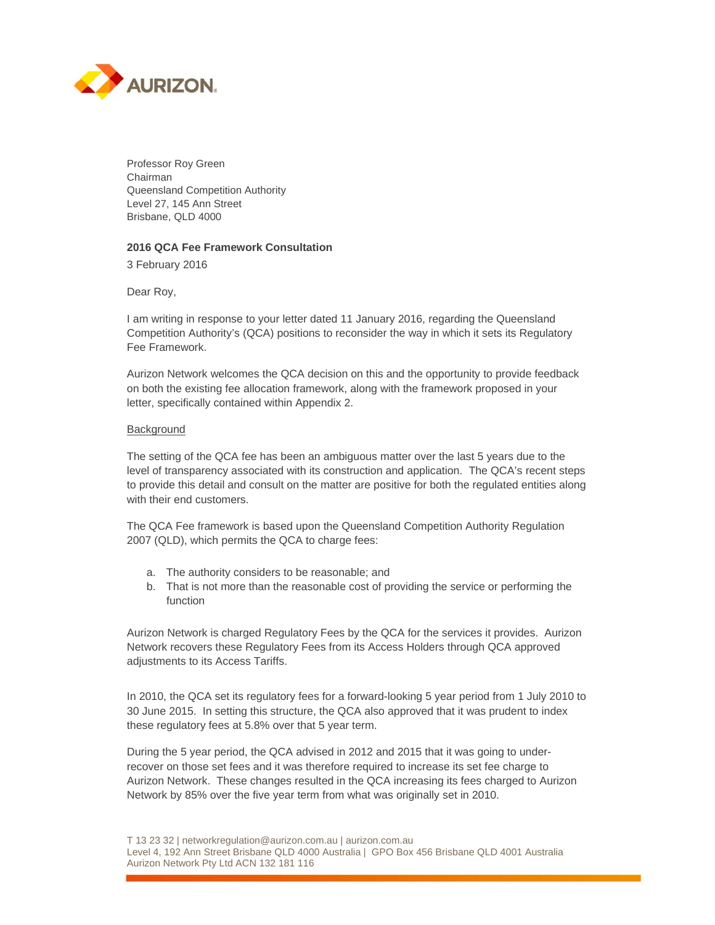

Professor Roy Green Chairman Queensland Competition Authority Level 27, 145 Ann Street Brisbane, QLD 4000

## **2016 QCA Fee Framework Consultation**

3 February 2016

Dear Roy,

I am writing in response to your letter dated 11 January 2016, regarding the Queensland Competition Authority's (QCA) positions to reconsider the way in which it sets its Regulatory Fee Framework.

Aurizon Network welcomes the QCA decision on this and the opportunity to provide feedback on both the existing fee allocation framework, along with the framework proposed in your letter, specifically contained within Appendix 2.

## Background

The setting of the QCA fee has been an ambiguous matter over the last 5 years due to the level of transparency associated with its construction and application. The QCA's recent steps to provide this detail and consult on the matter are positive for both the regulated entities along with their end customers.

The QCA Fee framework is based upon the Queensland Competition Authority Regulation 2007 (QLD), which permits the QCA to charge fees:

- a. The authority considers to be reasonable; and
- b. That is not more than the reasonable cost of providing the service or performing the function

Aurizon Network is charged Regulatory Fees by the QCA for the services it provides. Aurizon Network recovers these Regulatory Fees from its Access Holders through QCA approved adjustments to its Access Tariffs.

In 2010, the QCA set its regulatory fees for a forward-looking 5 year period from 1 July 2010 to 30 June 2015. In setting this structure, the QCA also approved that it was prudent to index these regulatory fees at 5.8% over that 5 year term.

During the 5 year period, the QCA advised in 2012 and 2015 that it was going to underrecover on those set fees and it was therefore required to increase its set fee charge to Aurizon Network. These changes resulted in the QCA increasing its fees charged to Aurizon Network by 85% over the five year term from what was originally set in 2010.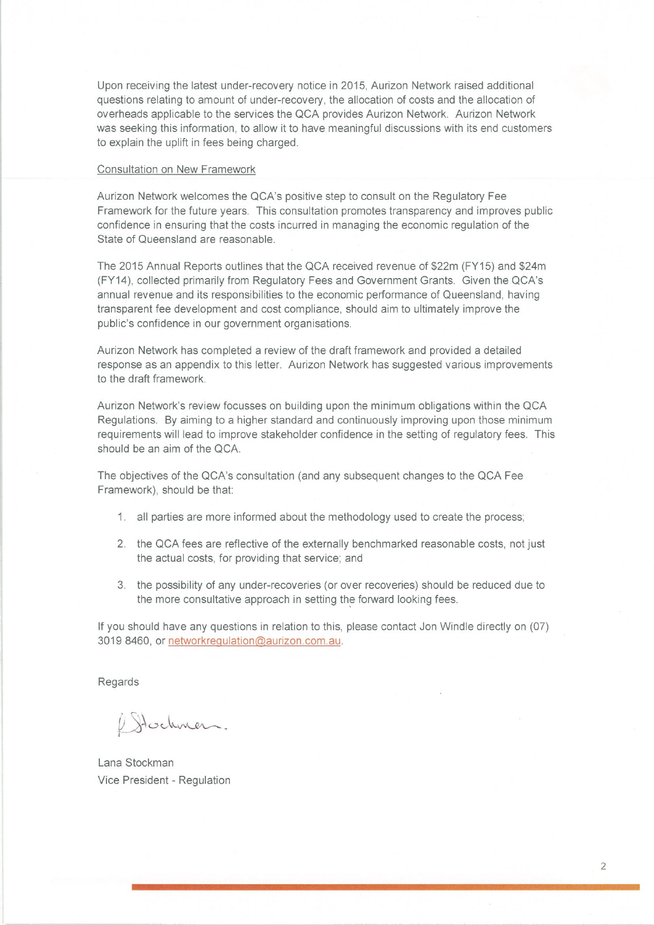Upon receiving the latest under-recovery notice in 2015, Aurizon Network raised additional questions relating to amount of under-recovery, the allocation of costs and the allocation of overheads applicable to the services the QCA provides Aurizon Network. Aurizon Network was seeking this information, to allow it to have meaningful discussions with its end customers to explain the uplift in fees being charged.

## Consultation on New Framework

Aurizon Network welcomes the QCA's positive step to consult on the Regulatory Fee Framework for the future years. This consultation promotes transparency and improves public confidence in ensuring that the costs incurred in managing the economic regulation of the State of Queensland are reasonable.

The 2015 Annual Reports outlines that the QCA received revenue of \$22m (FY15) and \$24m (FY14), collected primarily from Regulatory Fees and Government Grants. Given the QCA's annual revenue and its responsibilities to the economic performance of Queensland, having transparent fee development and cost compliance, should aim to ultimately improve the public's confidence in our government organisations.

Aurizon Network has completed a review of the draft framework and provided a detailed response as an appendix to this letter. Aurizon Network has suggested various improvements to the draft framework.

Aurizon Network's review focusses on building upon the minimum obligations within the QCA Regulations. By aiming to a higher standard and continuously improving upon those minimum requirements will lead to improve stakeholder confidence in the setting of regulatory fees. This should be an aim of the QCA.

The objectives of the QCA's consultation (and any subsequent changes to the QCA Fee Framework), should be that:

- 1. all parties are more informed about the methodology used to create the process;
- 2. the QCA fees are reflective of the externally benchmarked reasonable costs, not just the actual costs, for providing that service; and
- 3. the possibility of any under-recoveries (or over recoveries) should be reduced due to the more consultative approach in setting the forward looking fees.

If you should have any questions in relation to this, please contact Jon Windle directly on (07) 3019 8460, or networkregulation@aurizon.com.au.

Regards

1 Stochmen.

Lana Stockman Vice President - Regulation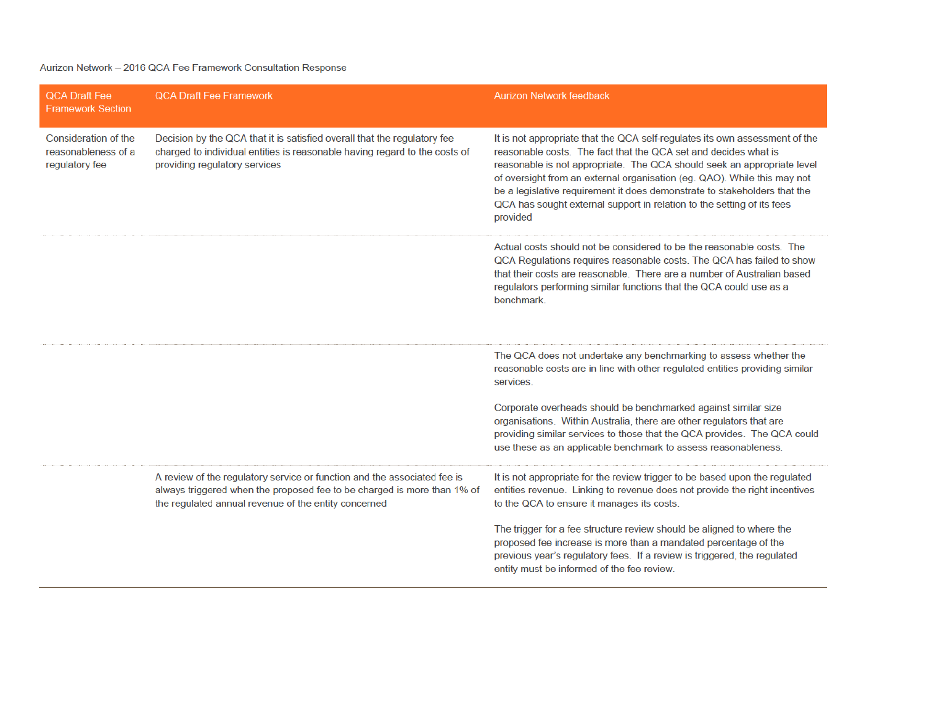## Aurizon Network - 2016 QCA Fee Framework Consultation Response

| <b>QCA Draft Fee</b><br><b>Framework Section</b>              | <b>QCA Draft Fee Framework</b>                                                                                                                                                                              | <b>Aurizon Network feedback</b>                                                                                                                                                                                                                                                                                                                                                                                                                                          |
|---------------------------------------------------------------|-------------------------------------------------------------------------------------------------------------------------------------------------------------------------------------------------------------|--------------------------------------------------------------------------------------------------------------------------------------------------------------------------------------------------------------------------------------------------------------------------------------------------------------------------------------------------------------------------------------------------------------------------------------------------------------------------|
| Consideration of the<br>reasonableness of a<br>regulatory fee | Decision by the QCA that it is satisfied overall that the regulatory fee<br>charged to individual entities is reasonable having regard to the costs of<br>providing regulatory services                     | It is not appropriate that the QCA self-regulates its own assessment of the<br>reasonable costs. The fact that the QCA set and decides what is<br>reasonable is not appropriate. The QCA should seek an appropriate level<br>of oversight from an external organisation (eg. QAO). While this may not<br>be a legislative requirement it does demonstrate to stakeholders that the<br>QCA has sought external support in relation to the setting of its fees<br>provided |
|                                                               |                                                                                                                                                                                                             | Actual costs should not be considered to be the reasonable costs. The<br>QCA Regulations requires reasonable costs. The QCA has failed to show<br>that their costs are reasonable. There are a number of Australian based<br>regulators performing similar functions that the QCA could use as a<br>benchmark.                                                                                                                                                           |
|                                                               |                                                                                                                                                                                                             | The QCA does not undertake any benchmarking to assess whether the<br>reasonable costs are in line with other regulated entities providing similar<br>services.                                                                                                                                                                                                                                                                                                           |
|                                                               |                                                                                                                                                                                                             | Corporate overheads should be benchmarked against similar size<br>organisations. Within Australia, there are other regulators that are<br>providing similar services to those that the QCA provides. The QCA could<br>use these as an applicable benchmark to assess reasonableness.                                                                                                                                                                                     |
|                                                               | A review of the regulatory service or function and the associated fee is<br>always triggered when the proposed fee to be charged is more than 1% of<br>the regulated annual revenue of the entity concerned | It is not appropriate for the review trigger to be based upon the regulated<br>entities revenue. Linking to revenue does not provide the right incentives<br>to the QCA to ensure it manages its costs.                                                                                                                                                                                                                                                                  |
|                                                               |                                                                                                                                                                                                             | The trigger for a fee structure review should be aligned to where the<br>proposed fee increase is more than a mandated percentage of the<br>previous year's regulatory fees. If a review is triggered, the regulated<br>entity must be informed of the fee review.                                                                                                                                                                                                       |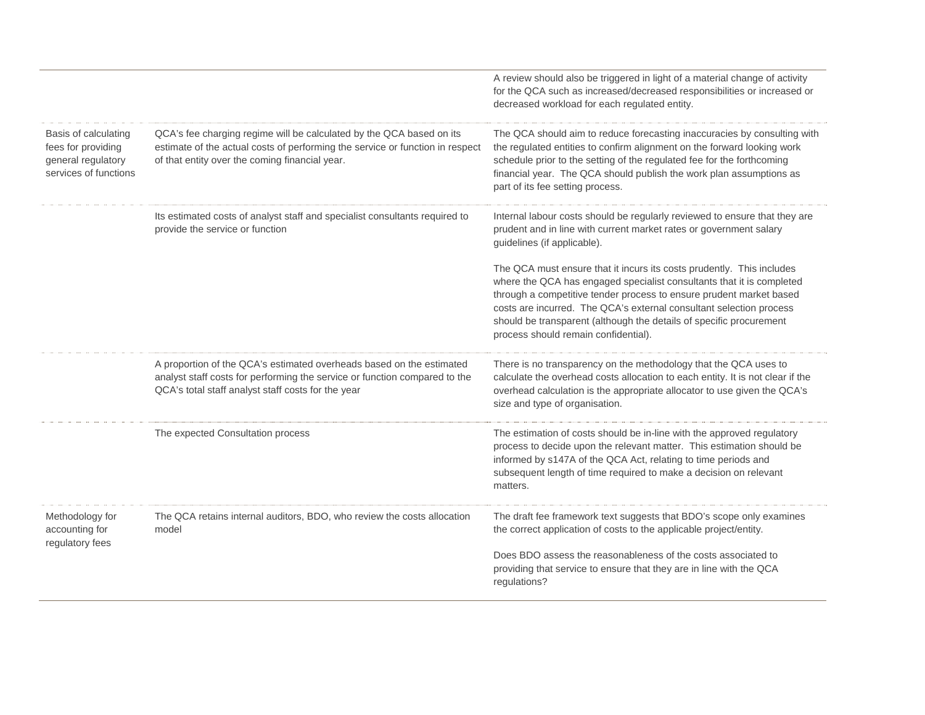|                                                                                           |                                                                                                                                                                                                          | A review should also be triggered in light of a material change of activity<br>for the QCA such as increased/decreased responsibilities or increased or<br>decreased workload for each regulated entity.                                                                                                                                                                                                    |
|-------------------------------------------------------------------------------------------|----------------------------------------------------------------------------------------------------------------------------------------------------------------------------------------------------------|-------------------------------------------------------------------------------------------------------------------------------------------------------------------------------------------------------------------------------------------------------------------------------------------------------------------------------------------------------------------------------------------------------------|
| Basis of calculating<br>fees for providing<br>general regulatory<br>services of functions | QCA's fee charging regime will be calculated by the QCA based on its<br>estimate of the actual costs of performing the service or function in respect<br>of that entity over the coming financial year.  | The QCA should aim to reduce forecasting inaccuracies by consulting with<br>the regulated entities to confirm alignment on the forward looking work<br>schedule prior to the setting of the regulated fee for the forthcoming<br>financial year. The QCA should publish the work plan assumptions as<br>part of its fee setting process.                                                                    |
|                                                                                           | Its estimated costs of analyst staff and specialist consultants required to<br>provide the service or function                                                                                           | Internal labour costs should be regularly reviewed to ensure that they are<br>prudent and in line with current market rates or government salary<br>guidelines (if applicable).                                                                                                                                                                                                                             |
|                                                                                           |                                                                                                                                                                                                          | The QCA must ensure that it incurs its costs prudently. This includes<br>where the QCA has engaged specialist consultants that it is completed<br>through a competitive tender process to ensure prudent market based<br>costs are incurred. The QCA's external consultant selection process<br>should be transparent (although the details of specific procurement<br>process should remain confidential). |
|                                                                                           | A proportion of the QCA's estimated overheads based on the estimated<br>analyst staff costs for performing the service or function compared to the<br>QCA's total staff analyst staff costs for the year | There is no transparency on the methodology that the QCA uses to<br>calculate the overhead costs allocation to each entity. It is not clear if the<br>overhead calculation is the appropriate allocator to use given the QCA's<br>size and type of organisation.                                                                                                                                            |
|                                                                                           | The expected Consultation process                                                                                                                                                                        | The estimation of costs should be in-line with the approved regulatory<br>process to decide upon the relevant matter. This estimation should be<br>informed by s147A of the QCA Act, relating to time periods and<br>subsequent length of time required to make a decision on relevant<br>matters.                                                                                                          |
| Methodology for<br>accounting for<br>regulatory fees                                      | The QCA retains internal auditors, BDO, who review the costs allocation<br>model                                                                                                                         | The draft fee framework text suggests that BDO's scope only examines<br>the correct application of costs to the applicable project/entity.                                                                                                                                                                                                                                                                  |
|                                                                                           |                                                                                                                                                                                                          | Does BDO assess the reasonableness of the costs associated to<br>providing that service to ensure that they are in line with the QCA<br>regulations?                                                                                                                                                                                                                                                        |